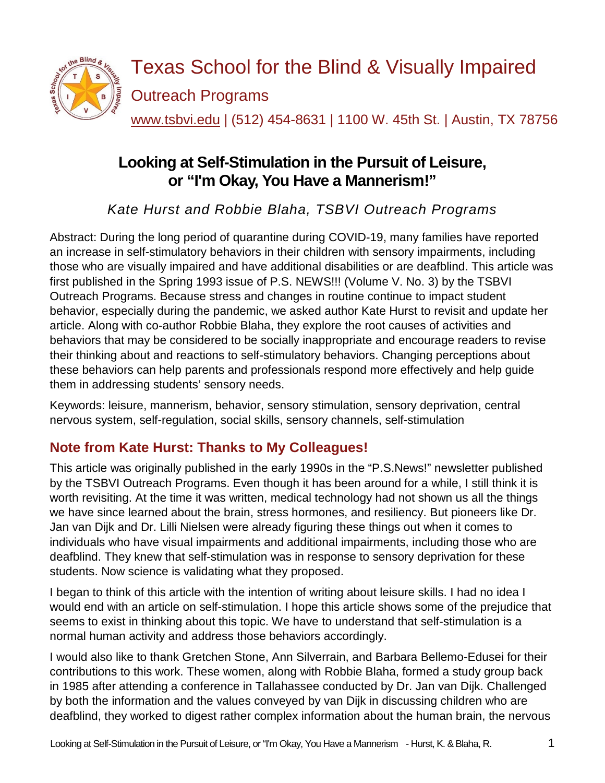

[www.tsbvi.edu](http://www.tsbvi.edu/) | (512) 454-8631 | 1100 W. 45th St. | Austin, TX 78756

# **Looking at Self-Stimulation in the Pursuit of Leisure, or "I'm Okay, You Have a Mannerism!"**

*Kate Hurst and Robbie Blaha, TSBVI Outreach Programs*

Abstract: During the long period of quarantine during COVID-19, many families have reported an increase in self-stimulatory behaviors in their children with sensory impairments, including those who are visually impaired and have additional disabilities or are deafblind. This article was first published in the Spring 1993 issue of P.S. NEWS!!! (Volume V. No. 3) by the TSBVI Outreach Programs. Because stress and changes in routine continue to impact student behavior, especially during the pandemic, we asked author Kate Hurst to revisit and update her article. Along with co-author Robbie Blaha, they explore the root causes of activities and behaviors that may be considered to be socially inappropriate and encourage readers to revise their thinking about and reactions to self-stimulatory behaviors. Changing perceptions about these behaviors can help parents and professionals respond more effectively and help guide them in addressing students' sensory needs.

Keywords: leisure, mannerism, behavior, sensory stimulation, sensory deprivation, central nervous system, self-regulation, social skills, sensory channels, self-stimulation

# **Note from Kate Hurst: Thanks to My Colleagues!**

This article was originally published in the early 1990s in the "P.S.News!" newsletter published by the TSBVI Outreach Programs. Even though it has been around for a while, I still think it is worth revisiting. At the time it was written, medical technology had not shown us all the things we have since learned about the brain, stress hormones, and resiliency. But pioneers like Dr. Jan van Dijk and Dr. Lilli Nielsen were already figuring these things out when it comes to individuals who have visual impairments and additional impairments, including those who are deafblind. They knew that self-stimulation was in response to sensory deprivation for these students. Now science is validating what they proposed.

I began to think of this article with the intention of writing about leisure skills. I had no idea I would end with an article on self-stimulation. I hope this article shows some of the prejudice that seems to exist in thinking about this topic. We have to understand that self-stimulation is a normal human activity and address those behaviors accordingly.

I would also like to thank Gretchen Stone, Ann Silverrain, and Barbara Bellemo-Edusei for their contributions to this work. These women, along with Robbie Blaha, formed a study group back in 1985 after attending a conference in Tallahassee conducted by Dr. Jan van Dijk. Challenged by both the information and the values conveyed by van Dijk in discussing children who are deafblind, they worked to digest rather complex information about the human brain, the nervous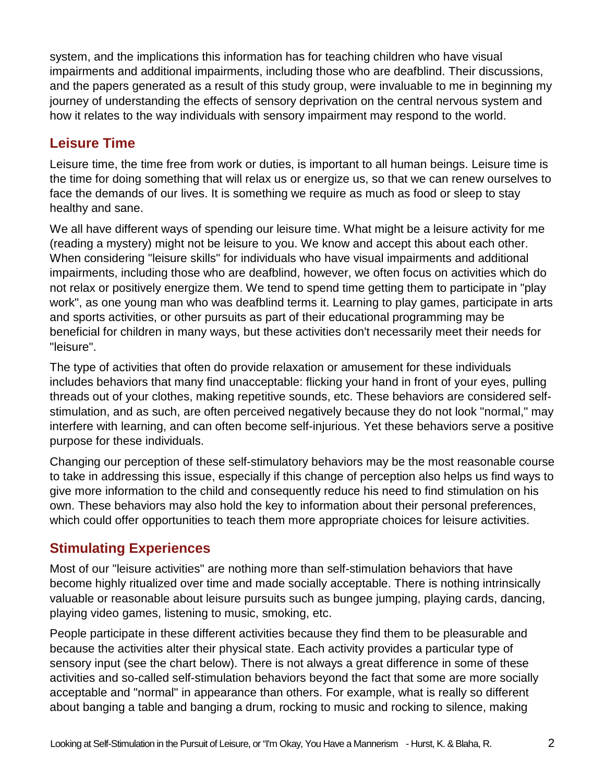system, and the implications this information has for teaching children who have visual impairments and additional impairments, including those who are deafblind. Their discussions, and the papers generated as a result of this study group, were invaluable to me in beginning my journey of understanding the effects of sensory deprivation on the central nervous system and how it relates to the way individuals with sensory impairment may respond to the world.

### **Leisure Time**

Leisure time, the time free from work or duties, is important to all human beings. Leisure time is the time for doing something that will relax us or energize us, so that we can renew ourselves to face the demands of our lives. It is something we require as much as food or sleep to stay healthy and sane.

We all have different ways of spending our leisure time. What might be a leisure activity for me (reading a mystery) might not be leisure to you. We know and accept this about each other. When considering "leisure skills" for individuals who have visual impairments and additional impairments, including those who are deafblind, however, we often focus on activities which do not relax or positively energize them. We tend to spend time getting them to participate in "play work", as one young man who was deafblind terms it. Learning to play games, participate in arts and sports activities, or other pursuits as part of their educational programming may be beneficial for children in many ways, but these activities don't necessarily meet their needs for "leisure".

The type of activities that often do provide relaxation or amusement for these individuals includes behaviors that many find unacceptable: flicking your hand in front of your eyes, pulling threads out of your clothes, making repetitive sounds, etc. These behaviors are considered selfstimulation, and as such, are often perceived negatively because they do not look "normal," may interfere with learning, and can often become self-injurious. Yet these behaviors serve a positive purpose for these individuals.

Changing our perception of these self-stimulatory behaviors may be the most reasonable course to take in addressing this issue, especially if this change of perception also helps us find ways to give more information to the child and consequently reduce his need to find stimulation on his own. These behaviors may also hold the key to information about their personal preferences, which could offer opportunities to teach them more appropriate choices for leisure activities.

### **Stimulating Experiences**

Most of our "leisure activities" are nothing more than self-stimulation behaviors that have become highly ritualized over time and made socially acceptable. There is nothing intrinsically valuable or reasonable about leisure pursuits such as bungee jumping, playing cards, dancing, playing video games, listening to music, smoking, etc.

People participate in these different activities because they find them to be pleasurable and because the activities alter their physical state. Each activity provides a particular type of sensory input (see the chart below). There is not always a great difference in some of these activities and so-called self-stimulation behaviors beyond the fact that some are more socially acceptable and "normal" in appearance than others. For example, what is really so different about banging a table and banging a drum, rocking to music and rocking to silence, making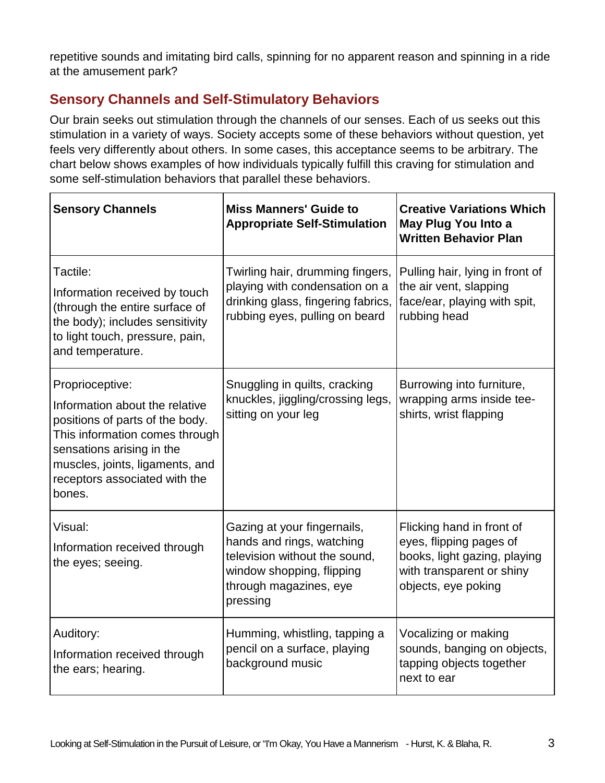repetitive sounds and imitating bird calls, spinning for no apparent reason and spinning in a ride at the amusement park?

### **Sensory Channels and Self-Stimulatory Behaviors**

Our brain seeks out stimulation through the channels of our senses. Each of us seeks out this stimulation in a variety of ways. Society accepts some of these behaviors without question, yet feels very differently about others. In some cases, this acceptance seems to be arbitrary. The chart below shows examples of how individuals typically fulfill this craving for stimulation and some self-stimulation behaviors that parallel these behaviors.

| <b>Sensory Channels</b>                                                                                                                                                                                                           | <b>Miss Manners' Guide to</b><br><b>Appropriate Self-Stimulation</b>                                                                                         | <b>Creative Variations Which</b><br>May Plug You Into a<br><b>Written Behavior Plan</b>                                                  |
|-----------------------------------------------------------------------------------------------------------------------------------------------------------------------------------------------------------------------------------|--------------------------------------------------------------------------------------------------------------------------------------------------------------|------------------------------------------------------------------------------------------------------------------------------------------|
| Tactile:<br>Information received by touch<br>(through the entire surface of<br>the body); includes sensitivity<br>to light touch, pressure, pain,<br>and temperature.                                                             | Twirling hair, drumming fingers,<br>playing with condensation on a<br>drinking glass, fingering fabrics,<br>rubbing eyes, pulling on beard                   | Pulling hair, lying in front of<br>the air vent, slapping<br>face/ear, playing with spit,<br>rubbing head                                |
| Proprioceptive:<br>Information about the relative<br>positions of parts of the body.<br>This information comes through<br>sensations arising in the<br>muscles, joints, ligaments, and<br>receptors associated with the<br>bones. | Snuggling in quilts, cracking<br>knuckles, jiggling/crossing legs,<br>sitting on your leg                                                                    | Burrowing into furniture,<br>wrapping arms inside tee-<br>shirts, wrist flapping                                                         |
| Visual:<br>Information received through<br>the eyes; seeing.                                                                                                                                                                      | Gazing at your fingernails,<br>hands and rings, watching<br>television without the sound,<br>window shopping, flipping<br>through magazines, eye<br>pressing | Flicking hand in front of<br>eyes, flipping pages of<br>books, light gazing, playing<br>with transparent or shiny<br>objects, eye poking |
| Auditory:<br>Information received through<br>the ears; hearing.                                                                                                                                                                   | Humming, whistling, tapping a<br>pencil on a surface, playing<br>background music                                                                            | Vocalizing or making<br>sounds, banging on objects,<br>tapping objects together<br>next to ear                                           |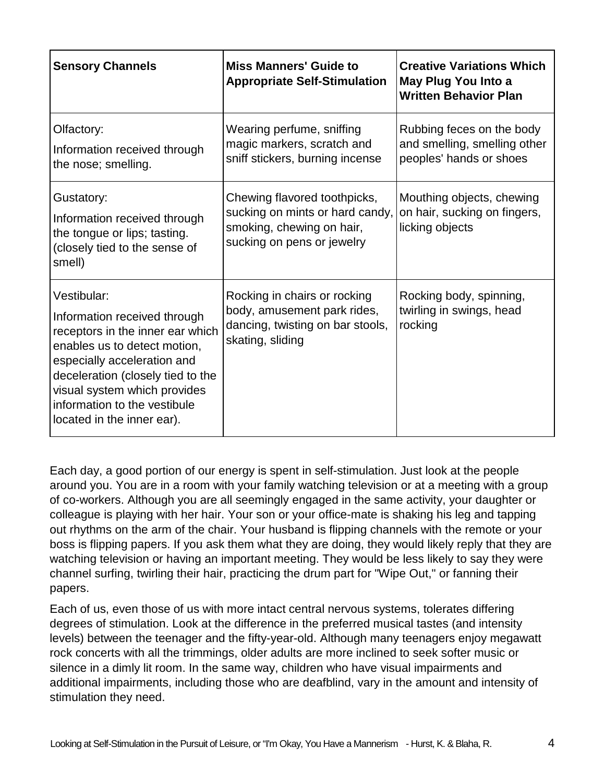| <b>Sensory Channels</b>                                                                                                                                                                                                                                                           | <b>Miss Manners' Guide to</b><br><b>Appropriate Self-Stimulation</b>                                                       | <b>Creative Variations Which</b><br>May Plug You Into a<br><b>Written Behavior Plan</b> |
|-----------------------------------------------------------------------------------------------------------------------------------------------------------------------------------------------------------------------------------------------------------------------------------|----------------------------------------------------------------------------------------------------------------------------|-----------------------------------------------------------------------------------------|
| Olfactory:<br>Information received through<br>the nose; smelling.                                                                                                                                                                                                                 | Wearing perfume, sniffing<br>magic markers, scratch and<br>sniff stickers, burning incense                                 | Rubbing feces on the body<br>and smelling, smelling other<br>peoples' hands or shoes    |
| Gustatory:<br>Information received through<br>the tongue or lips; tasting.<br>(closely tied to the sense of<br>smell)                                                                                                                                                             | Chewing flavored toothpicks,<br>sucking on mints or hard candy,<br>smoking, chewing on hair,<br>sucking on pens or jewelry | Mouthing objects, chewing<br>on hair, sucking on fingers,<br>licking objects            |
| Vestibular:<br>Information received through<br>receptors in the inner ear which<br>enables us to detect motion,<br>especially acceleration and<br>deceleration (closely tied to the<br>visual system which provides<br>information to the vestibule<br>located in the inner ear). | Rocking in chairs or rocking<br>body, amusement park rides,<br>dancing, twisting on bar stools,<br>skating, sliding        | Rocking body, spinning,<br>twirling in swings, head<br>rocking                          |

Each day, a good portion of our energy is spent in self-stimulation. Just look at the people around you. You are in a room with your family watching television or at a meeting with a group of co-workers. Although you are all seemingly engaged in the same activity, your daughter or colleague is playing with her hair. Your son or your office-mate is shaking his leg and tapping out rhythms on the arm of the chair. Your husband is flipping channels with the remote or your boss is flipping papers. If you ask them what they are doing, they would likely reply that they are watching television or having an important meeting. They would be less likely to say they were channel surfing, twirling their hair, practicing the drum part for "Wipe Out," or fanning their papers.

Each of us, even those of us with more intact central nervous systems, tolerates differing degrees of stimulation. Look at the difference in the preferred musical tastes (and intensity levels) between the teenager and the fifty-year-old. Although many teenagers enjoy megawatt rock concerts with all the trimmings, older adults are more inclined to seek softer music or silence in a dimly lit room. In the same way, children who have visual impairments and additional impairments, including those who are deafblind, vary in the amount and intensity of stimulation they need.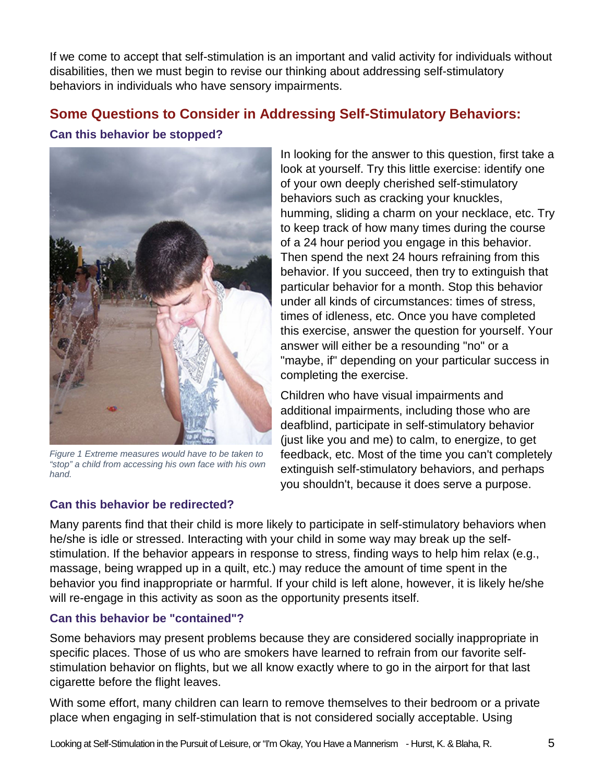If we come to accept that self-stimulation is an important and valid activity for individuals without disabilities, then we must begin to revise our thinking about addressing self-stimulatory behaviors in individuals who have sensory impairments.

### **Some Questions to Consider in Addressing Self-Stimulatory Behaviors:**

#### **Can this behavior be stopped?**



*Figure 1 Extreme measures would have to be taken to "stop" a child from accessing his own face with his own hand.*

#### **Can this behavior be redirected?**

In looking for the answer to this question, first take a look at yourself. Try this little exercise: identify one of your own deeply cherished self-stimulatory behaviors such as cracking your knuckles, humming, sliding a charm on your necklace, etc. Try to keep track of how many times during the course of a 24 hour period you engage in this behavior. Then spend the next 24 hours refraining from this behavior. If you succeed, then try to extinguish that particular behavior for a month. Stop this behavior under all kinds of circumstances: times of stress, times of idleness, etc. Once you have completed this exercise, answer the question for yourself. Your answer will either be a resounding "no" or a "maybe, if" depending on your particular success in completing the exercise.

Children who have visual impairments and additional impairments, including those who are deafblind, participate in self-stimulatory behavior (just like you and me) to calm, to energize, to get feedback, etc. Most of the time you can't completely extinguish self-stimulatory behaviors, and perhaps you shouldn't, because it does serve a purpose.

Many parents find that their child is more likely to participate in self-stimulatory behaviors when he/she is idle or stressed. Interacting with your child in some way may break up the selfstimulation. If the behavior appears in response to stress, finding ways to help him relax (e.g., massage, being wrapped up in a quilt, etc.) may reduce the amount of time spent in the behavior you find inappropriate or harmful. If your child is left alone, however, it is likely he/she will re-engage in this activity as soon as the opportunity presents itself.

#### **Can this behavior be "contained"?**

Some behaviors may present problems because they are considered socially inappropriate in specific places. Those of us who are smokers have learned to refrain from our favorite selfstimulation behavior on flights, but we all know exactly where to go in the airport for that last cigarette before the flight leaves.

With some effort, many children can learn to remove themselves to their bedroom or a private place when engaging in self-stimulation that is not considered socially acceptable. Using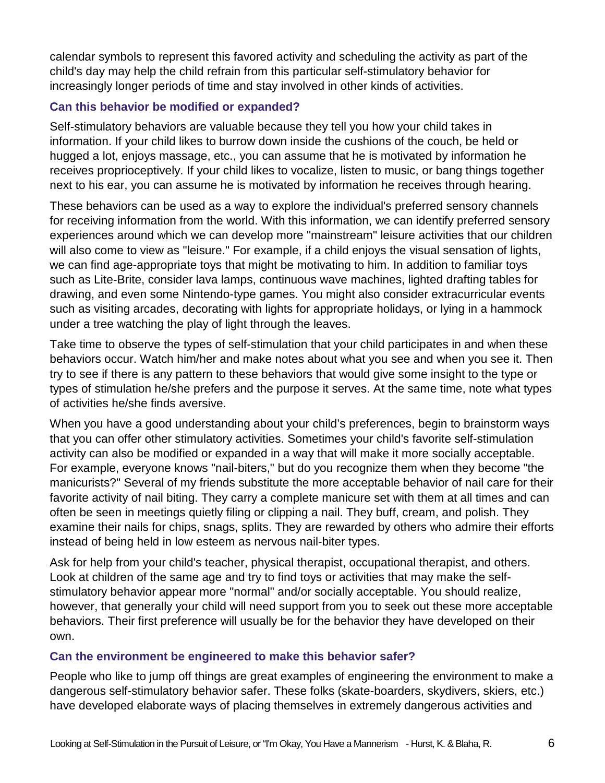calendar symbols to represent this favored activity and scheduling the activity as part of the child's day may help the child refrain from this particular self-stimulatory behavior for increasingly longer periods of time and stay involved in other kinds of activities.

#### **Can this behavior be modified or expanded?**

Self-stimulatory behaviors are valuable because they tell you how your child takes in information. If your child likes to burrow down inside the cushions of the couch, be held or hugged a lot, enjoys massage, etc., you can assume that he is motivated by information he receives proprioceptively. If your child likes to vocalize, listen to music, or bang things together next to his ear, you can assume he is motivated by information he receives through hearing.

These behaviors can be used as a way to explore the individual's preferred sensory channels for receiving information from the world. With this information, we can identify preferred sensory experiences around which we can develop more "mainstream" leisure activities that our children will also come to view as "leisure." For example, if a child enjoys the visual sensation of lights, we can find age-appropriate toys that might be motivating to him. In addition to familiar toys such as Lite-Brite, consider lava lamps, continuous wave machines, lighted drafting tables for drawing, and even some Nintendo-type games. You might also consider extracurricular events such as visiting arcades, decorating with lights for appropriate holidays, or lying in a hammock under a tree watching the play of light through the leaves.

Take time to observe the types of self-stimulation that your child participates in and when these behaviors occur. Watch him/her and make notes about what you see and when you see it. Then try to see if there is any pattern to these behaviors that would give some insight to the type or types of stimulation he/she prefers and the purpose it serves. At the same time, note what types of activities he/she finds aversive.

When you have a good understanding about your child's preferences, begin to brainstorm ways that you can offer other stimulatory activities. Sometimes your child's favorite self-stimulation activity can also be modified or expanded in a way that will make it more socially acceptable. For example, everyone knows "nail-biters," but do you recognize them when they become "the manicurists?" Several of my friends substitute the more acceptable behavior of nail care for their favorite activity of nail biting. They carry a complete manicure set with them at all times and can often be seen in meetings quietly filing or clipping a nail. They buff, cream, and polish. They examine their nails for chips, snags, splits. They are rewarded by others who admire their efforts instead of being held in low esteem as nervous nail-biter types.

Ask for help from your child's teacher, physical therapist, occupational therapist, and others. Look at children of the same age and try to find toys or activities that may make the selfstimulatory behavior appear more "normal" and/or socially acceptable. You should realize, however, that generally your child will need support from you to seek out these more acceptable behaviors. Their first preference will usually be for the behavior they have developed on their own.

#### **Can the environment be engineered to make this behavior safer?**

People who like to jump off things are great examples of engineering the environment to make a dangerous self-stimulatory behavior safer. These folks (skate-boarders, skydivers, skiers, etc.) have developed elaborate ways of placing themselves in extremely dangerous activities and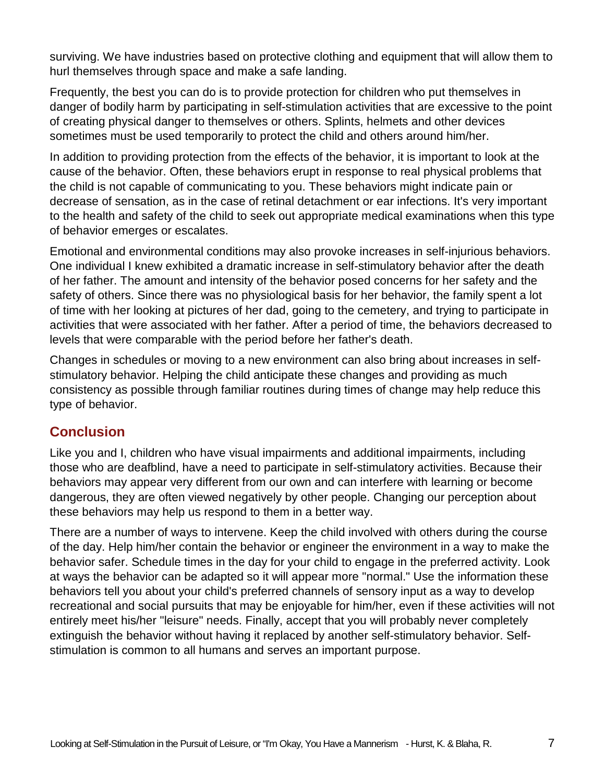surviving. We have industries based on protective clothing and equipment that will allow them to hurl themselves through space and make a safe landing.

Frequently, the best you can do is to provide protection for children who put themselves in danger of bodily harm by participating in self-stimulation activities that are excessive to the point of creating physical danger to themselves or others. Splints, helmets and other devices sometimes must be used temporarily to protect the child and others around him/her.

In addition to providing protection from the effects of the behavior, it is important to look at the cause of the behavior. Often, these behaviors erupt in response to real physical problems that the child is not capable of communicating to you. These behaviors might indicate pain or decrease of sensation, as in the case of retinal detachment or ear infections. It's very important to the health and safety of the child to seek out appropriate medical examinations when this type of behavior emerges or escalates.

Emotional and environmental conditions may also provoke increases in self-injurious behaviors. One individual I knew exhibited a dramatic increase in self-stimulatory behavior after the death of her father. The amount and intensity of the behavior posed concerns for her safety and the safety of others. Since there was no physiological basis for her behavior, the family spent a lot of time with her looking at pictures of her dad, going to the cemetery, and trying to participate in activities that were associated with her father. After a period of time, the behaviors decreased to levels that were comparable with the period before her father's death.

Changes in schedules or moving to a new environment can also bring about increases in selfstimulatory behavior. Helping the child anticipate these changes and providing as much consistency as possible through familiar routines during times of change may help reduce this type of behavior.

### **Conclusion**

Like you and I, children who have visual impairments and additional impairments, including those who are deafblind, have a need to participate in self-stimulatory activities. Because their behaviors may appear very different from our own and can interfere with learning or become dangerous, they are often viewed negatively by other people. Changing our perception about these behaviors may help us respond to them in a better way.

There are a number of ways to intervene. Keep the child involved with others during the course of the day. Help him/her contain the behavior or engineer the environment in a way to make the behavior safer. Schedule times in the day for your child to engage in the preferred activity. Look at ways the behavior can be adapted so it will appear more "normal." Use the information these behaviors tell you about your child's preferred channels of sensory input as a way to develop recreational and social pursuits that may be enjoyable for him/her, even if these activities will not entirely meet his/her "leisure" needs. Finally, accept that you will probably never completely extinguish the behavior without having it replaced by another self-stimulatory behavior. Selfstimulation is common to all humans and serves an important purpose.